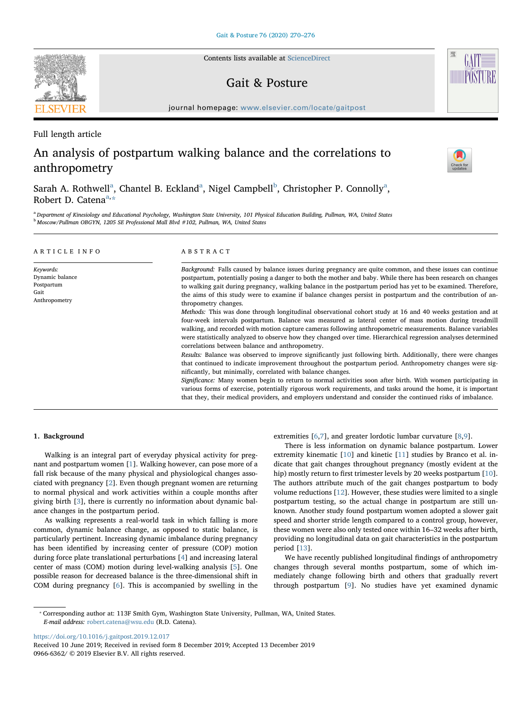Contents lists available at [ScienceDirect](http://www.sciencedirect.com/science/journal/09666362)

## Gait & Posture

journal homepage: [www.elsevier.com/locate/gaitpost](https://www.elsevier.com/locate/gaitpost)

Full length article

# An analysis of postpartum walking balance and the correlations to anthropometry

S[a](#page-0-0)rah A. Rothwell<sup>a</sup>, Chantel B. Eckland<sup>a</sup>, Nigel Camp[b](#page-0-1)ell<sup>b</sup>, Christopher P. Connolly<sup>a</sup>, Robert D. C[a](#page-0-0)tena<sup>a,[\\*](#page-0-2)</sup>

<span id="page-0-1"></span><span id="page-0-0"></span><sup>a</sup> Department of Kinesiology and Educational Psychology, Washington State University, 101 Physical Education Building, Pullman, WA, United States <sup>b</sup> Moscow/Pullman OBGYN, 1205 SE Professional Mall Blvd #102, Pullman, WA, United States

| ARTICLE INFO                                                        | ABSTRACT                                                                                                                                                                                                                                                                                                                                                                                                                                                                                                                                                                                                                                                                                                                                                                                                                                                                                                                                     |
|---------------------------------------------------------------------|----------------------------------------------------------------------------------------------------------------------------------------------------------------------------------------------------------------------------------------------------------------------------------------------------------------------------------------------------------------------------------------------------------------------------------------------------------------------------------------------------------------------------------------------------------------------------------------------------------------------------------------------------------------------------------------------------------------------------------------------------------------------------------------------------------------------------------------------------------------------------------------------------------------------------------------------|
| Keywords:<br>Dynamic balance<br>Postpartum<br>Gait<br>Anthropometry | Background: Falls caused by balance issues during pregnancy are quite common, and these issues can continue<br>postpartum, potentially posing a danger to both the mother and baby. While there has been research on changes<br>to walking gait during pregnancy, walking balance in the postpartum period has yet to be examined. Therefore,<br>the aims of this study were to examine if balance changes persist in postpartum and the contribution of an-<br>thropometry changes.<br>Methods: This was done through longitudinal observational cohort study at 16 and 40 weeks gestation and at<br>four-week intervals postpartum. Balance was measured as lateral center of mass motion during treadmill<br>walking, and recorded with motion capture cameras following anthropometric measurements. Balance variables<br>were statistically analyzed to observe how they changed over time. Hierarchical regression analyses determined |
|                                                                     | correlations between balance and anthropometry.<br>Results: Balance was observed to improve significantly just following birth. Additionally, there were changes<br>that continued to indicate improvement throughout the postpartum period. Anthropometry changes were sig-<br>nificantly, but minimally, correlated with balance changes.<br>Significance: Many women begin to return to normal activities soon after birth. With women participating in<br>various forms of exercise, potentially rigorous work requirements, and tasks around the home, it is important<br>that they, their medical providers, and employers understand and consider the continued risks of imbalance.                                                                                                                                                                                                                                                   |

## 1. Background

Walking is an integral part of everyday physical activity for pregnant and postpartum women [[1\]](#page-6-0). Walking however, can pose more of a fall risk because of the many physical and physiological changes associated with pregnancy [[2](#page-6-1)]. Even though pregnant women are returning to normal physical and work activities within a couple months after giving birth [[3](#page-6-2)], there is currently no information about dynamic balance changes in the postpartum period.

As walking represents a real-world task in which falling is more common, dynamic balance change, as opposed to static balance, is particularly pertinent. Increasing dynamic imbalance during pregnancy has been identified by increasing center of pressure (COP) motion during force plate translational perturbations [\[4\]](#page-6-3) and increasing lateral center of mass (COM) motion during level-walking analysis [[5](#page-6-4)]. One possible reason for decreased balance is the three-dimensional shift in COM during pregnancy [[6](#page-6-5)]. This is accompanied by swelling in the

extremities [[6](#page-6-5)[,7\]](#page-6-6), and greater lordotic lumbar curvature [[8](#page-6-7)[,9\]](#page-6-8).

There is less information on dynamic balance postpartum. Lower extremity kinematic [\[10](#page-6-9)] and kinetic [[11\]](#page-6-10) studies by Branco et al. indicate that gait changes throughout pregnancy (mostly evident at the hip) mostly return to first trimester levels by 20 weeks postpartum [\[10](#page-6-9)]. The authors attribute much of the gait changes postpartum to body volume reductions [[12\]](#page-6-11). However, these studies were limited to a single postpartum testing, so the actual change in postpartum are still unknown. Another study found postpartum women adopted a slower gait speed and shorter stride length compared to a control group, however, these women were also only tested once within 16–32 weeks after birth, providing no longitudinal data on gait characteristics in the postpartum period [\[13](#page-6-12)].

We have recently published longitudinal findings of anthropometry changes through several months postpartum, some of which immediately change following birth and others that gradually revert through postpartum [\[9\]](#page-6-8). No studies have yet examined dynamic

<https://doi.org/10.1016/j.gaitpost.2019.12.017>







<span id="page-0-2"></span><sup>⁎</sup> Corresponding author at: 113F Smith Gym, Washington State University, Pullman, WA, United States. E-mail address: [robert.catena@wsu.edu](mailto:robert.catena@wsu.edu) (R.D. Catena).

Received 10 June 2019; Received in revised form 8 December 2019; Accepted 13 December 2019 0966-6362/ © 2019 Elsevier B.V. All rights reserved.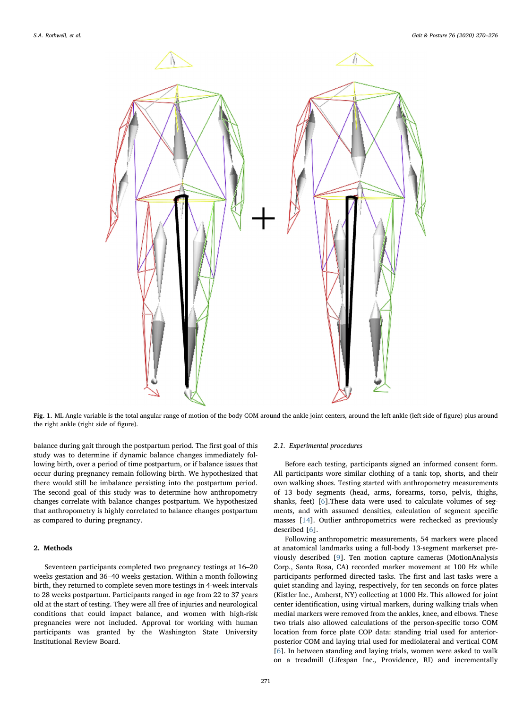<span id="page-1-0"></span>

Fig. 1. ML Angle variable is the total angular range of motion of the body COM around the ankle joint centers, around the left ankle (left side of figure) plus around the right ankle (right side of figure).

balance during gait through the postpartum period. The first goal of this study was to determine if dynamic balance changes immediately following birth, over a period of time postpartum, or if balance issues that occur during pregnancy remain following birth. We hypothesized that there would still be imbalance persisting into the postpartum period. The second goal of this study was to determine how anthropometry changes correlate with balance changes postpartum. We hypothesized that anthropometry is highly correlated to balance changes postpartum as compared to during pregnancy.

## 2. Methods

Seventeen participants completed two pregnancy testings at 16–20 weeks gestation and 36–40 weeks gestation. Within a month following birth, they returned to complete seven more testings in 4-week intervals to 28 weeks postpartum. Participants ranged in age from 22 to 37 years old at the start of testing. They were all free of injuries and neurological conditions that could impact balance, and women with high-risk pregnancies were not included. Approval for working with human participants was granted by the Washington State University Institutional Review Board.

## 2.1. Experimental procedures

Before each testing, participants signed an informed consent form. All participants wore similar clothing of a tank top, shorts, and their own walking shoes. Testing started with anthropometry measurements of 13 body segments (head, arms, forearms, torso, pelvis, thighs, shanks, feet) [[6](#page-6-5)].These data were used to calculate volumes of segments, and with assumed densities, calculation of segment specific masses [\[14](#page-6-13)]. Outlier anthropometrics were rechecked as previously described [\[6\]](#page-6-5).

Following anthropometric measurements, 54 markers were placed at anatomical landmarks using a full-body 13-segment markerset previously described [[9](#page-6-8)]. Ten motion capture cameras (MotionAnalysis Corp., Santa Rosa, CA) recorded marker movement at 100 Hz while participants performed directed tasks. The first and last tasks were a quiet standing and laying, respectively, for ten seconds on force plates (Kistler Inc., Amherst, NY) collecting at 1000 Hz. This allowed for joint center identification, using virtual markers, during walking trials when medial markers were removed from the ankles, knee, and elbows. These two trials also allowed calculations of the person-specific torso COM location from force plate COP data: standing trial used for anteriorposterior COM and laying trial used for mediolateral and vertical COM [[6](#page-6-5)]. In between standing and laying trials, women were asked to walk on a treadmill (Lifespan Inc., Providence, RI) and incrementally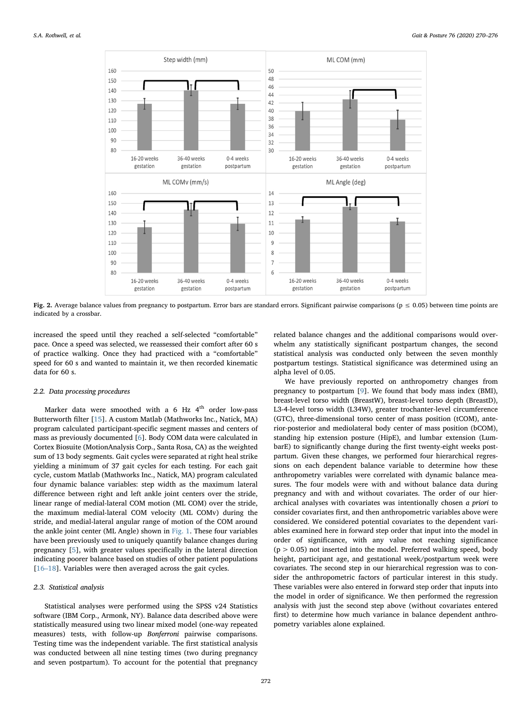<span id="page-2-0"></span>

Fig. 2. Average balance values from pregnancy to postpartum. Error bars are standard errors. Significant pairwise comparisons ( $p \le 0.05$ ) between time points are indicated by a crossbar.

increased the speed until they reached a self-selected "comfortable" pace. Once a speed was selected, we reassessed their comfort after 60 s of practice walking. Once they had practiced with a "comfortable" speed for 60 s and wanted to maintain it, we then recorded kinematic data for 60 s.

## 2.2. Data processing procedures

Marker data were smoothed with a  $6$  Hz  $4<sup>th</sup>$  order low-pass Butterworth filter [\[15](#page-6-14)]. A custom Matlab (Mathworks Inc., Natick, MA) program calculated participant-specific segment masses and centers of mass as previously documented [\[6\]](#page-6-5). Body COM data were calculated in Cortex Biosuite (MotionAnalysis Corp., Santa Rosa, CA) as the weighted sum of 13 body segments. Gait cycles were separated at right heal strike yielding a minimum of 37 gait cycles for each testing. For each gait cycle, custom Matlab (Mathworks Inc., Natick, MA) program calculated four dynamic balance variables: step width as the maximum lateral difference between right and left ankle joint centers over the stride, linear range of medial-lateral COM motion (ML COM) over the stride, the maximum medial-lateral COM velocity (ML COMv) during the stride, and medial-lateral angular range of motion of the COM around the ankle joint center (ML Angle) shown in [Fig. 1.](#page-1-0) These four variables have been previously used to uniquely quantify balance changes during pregnancy [[5](#page-6-4)], with greater values specifically in the lateral direction indicating poorer balance based on studies of other patient populations [16–[18\]](#page-6-15). Variables were then averaged across the gait cycles.

## 2.3. Statistical analysis

Statistical analyses were performed using the SPSS v24 Statistics software (IBM Corp., Armonk, NY). Balance data described above were statistically measured using two linear mixed model (one-way repeated measures) tests, with follow-up Bonferroni pairwise comparisons. Testing time was the independent variable. The first statistical analysis was conducted between all nine testing times (two during pregnancy and seven postpartum). To account for the potential that pregnancy

related balance changes and the additional comparisons would overwhelm any statistically significant postpartum changes, the second statistical analysis was conducted only between the seven monthly postpartum testings. Statistical significance was determined using an alpha level of 0.05.

We have previously reported on anthropometry changes from pregnancy to postpartum [\[9\]](#page-6-8). We found that body mass index (BMI), breast-level torso width (BreastW), breast-level torso depth (BreastD), L3-4-level torso width (L34W), greater trochanter-level circumference (GTC), three-dimensional torso center of mass position (tCOM), anterior-posterior and mediolateral body center of mass position (bCOM), standing hip extension posture (HipE), and lumbar extension (LumbarE) to significantly change during the first twenty-eight weeks postpartum. Given these changes, we performed four hierarchical regressions on each dependent balance variable to determine how these anthropometry variables were correlated with dynamic balance measures. The four models were with and without balance data during pregnancy and with and without covariates. The order of our hierarchical analyses with covariates was intentionally chosen a priori to consider covariates first, and then anthropometric variables above were considered. We considered potential covariates to the dependent variables examined here in forward step order that input into the model in order of significance, with any value not reaching significance  $(p > 0.05)$  not inserted into the model. Preferred walking speed, body height, participant age, and gestational week/postpartum week were covariates. The second step in our hierarchical regression was to consider the anthropometric factors of particular interest in this study. These variables were also entered in forward step order that inputs into the model in order of significance. We then performed the regression analysis with just the second step above (without covariates entered first) to determine how much variance in balance dependent anthropometry variables alone explained.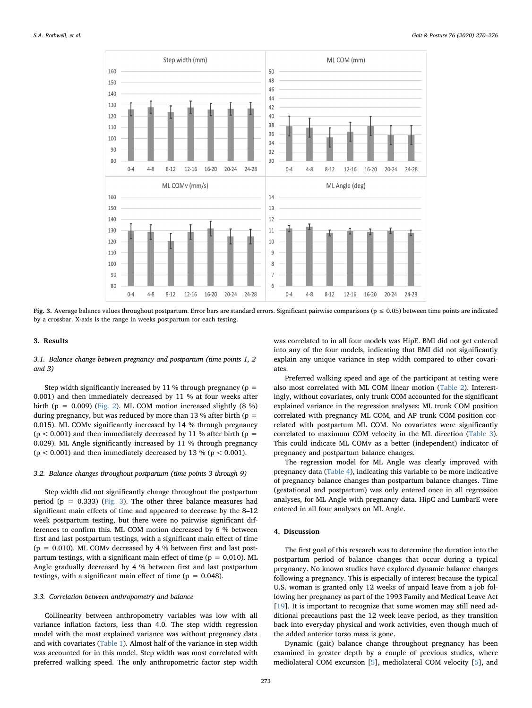<span id="page-3-0"></span>

Fig. 3. Average balance values throughout postpartum. Error bars are standard errors. Significant pairwise comparisons ( $p \le 0.05$ ) between time points are indicated by a crossbar. X-axis is the range in weeks postpartum for each testing.

## 3. Results

## 3.1. Balance change between pregnancy and postpartum (time points 1, 2 and 3)

Step width significantly increased by 11 % through pregnancy ( $p =$ 0.001) and then immediately decreased by 11 % at four weeks after birth (p =  $0.009$ ) [\(Fig. 2](#page-2-0)). ML COM motion increased slightly (8 %) during pregnancy, but was reduced by more than 13 % after birth ( $p =$ 0.015). ML COMv significantly increased by 14 % through pregnancy  $(p < 0.001)$  and then immediately decreased by 11 % after birth (p = 0.029). ML Angle significantly increased by 11 % through pregnancy  $(p < 0.001)$  and then immediately decreased by 13 %  $(p < 0.001)$ .

#### 3.2. Balance changes throughout postpartum (time points 3 through 9)

Step width did not significantly change throughout the postpartum period ( $p = 0.333$ ) ([Fig. 3](#page-3-0)). The other three balance measures had significant main effects of time and appeared to decrease by the 8–12 week postpartum testing, but there were no pairwise significant differences to confirm this. ML COM motion decreased by 6 % between first and last postpartum testings, with a significant main effect of time ( $p = 0.010$ ). ML COMv decreased by 4 % between first and last postpartum testings, with a significant main effect of time ( $p = 0.010$ ). ML Angle gradually decreased by 4 % between first and last postpartum testings, with a significant main effect of time ( $p = 0.048$ ).

## 3.3. Correlation between anthropometry and balance

Collinearity between anthropometry variables was low with all variance inflation factors, less than 4.0. The step width regression model with the most explained variance was without pregnancy data and with covariates ([Table 1\)](#page-4-0). Almost half of the variance in step width was accounted for in this model. Step width was most correlated with preferred walking speed. The only anthropometric factor step width

was correlated to in all four models was HipE. BMI did not get entered into any of the four models, indicating that BMI did not significantly explain any unique variance in step width compared to other covariates.

Preferred walking speed and age of the participant at testing were also most correlated with ML COM linear motion ([Table 2\)](#page-4-1). Interestingly, without covariates, only trunk COM accounted for the significant explained variance in the regression analyses: ML trunk COM position correlated with pregnancy ML COM, and AP trunk COM position correlated with postpartum ML COM. No covariates were significantly correlated to maximum COM velocity in the ML direction [\(Table 3](#page-5-0)). This could indicate ML COMv as a better (independent) indicator of pregnancy and postpartum balance changes.

The regression model for ML Angle was clearly improved with pregnancy data ([Table 4](#page-5-1)), indicating this variable to be more indicative of pregnancy balance changes than postpartum balance changes. Time (gestational and postpartum) was only entered once in all regression analyses, for ML Angle with pregnancy data. HipC and LumbarE were entered in all four analyses on ML Angle.

## 4. Discussion

The first goal of this research was to determine the duration into the postpartum period of balance changes that occur during a typical pregnancy. No known studies have explored dynamic balance changes following a pregnancy. This is especially of interest because the typical U.S. woman is granted only 12 weeks of unpaid leave from a job following her pregnancy as part of the 1993 Family and Medical Leave Act [[19\]](#page-6-16). It is important to recognize that some women may still need additional precautions past the 12 week leave period, as they transition back into everyday physical and work activities, even though much of the added anterior torso mass is gone.

Dynamic (gait) balance change throughout pregnancy has been examined in greater depth by a couple of previous studies, where mediolateral COM excursion [\[5\]](#page-6-4), mediolateral COM velocity [\[5\]](#page-6-4), and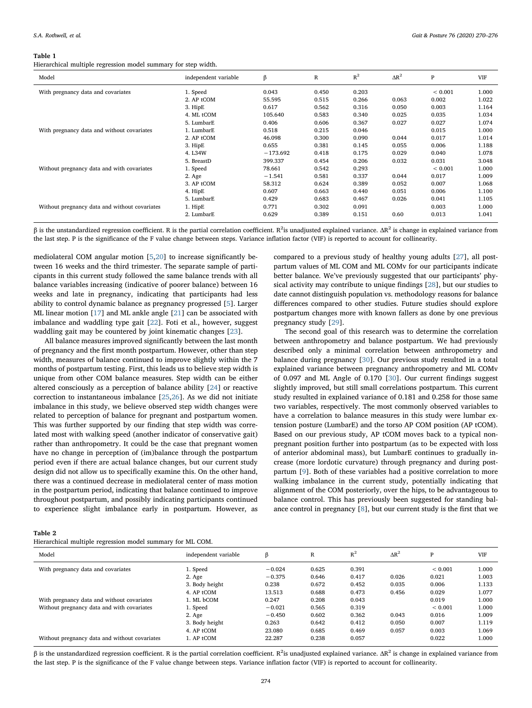#### <span id="page-4-0"></span>Table 1

Hierarchical multiple regression model summary for step width.

| Model                                         | independent variable | β          | R     | $R^2$ | $\Delta R^2$ | P           | <b>VIF</b> |
|-----------------------------------------------|----------------------|------------|-------|-------|--------------|-------------|------------|
| With pregnancy data and covariates            | 1. Speed             | 0.043      | 0.450 | 0.203 |              | ${}< 0.001$ | 1.000      |
|                                               | 2. AP tCOM           | 55.595     | 0.515 | 0.266 | 0.063        | 0.002       | 1.022      |
|                                               | 3. HipE              | 0.617      | 0.562 | 0.316 | 0.050        | 0.003       | 1.164      |
|                                               | 4. ML tCOM           | 105.640    | 0.583 | 0.340 | 0.025        | 0.035       | 1.034      |
|                                               | 5. LumbarE           | 0.406      | 0.606 | 0.367 | 0.027        | 0.027       | 1.074      |
| With pregnancy data and without covariates    | 1. LumbarE           | 0.518      | 0.215 | 0.046 |              | 0.015       | 1.000      |
|                                               | 2. AP tCOM           | 46.098     | 0.300 | 0.090 | 0.044        | 0.017       | 1.014      |
|                                               | 3. HipE              | 0.655      | 0.381 | 0.145 | 0.055        | 0.006       | 1.188      |
|                                               | 4. L34W              | $-173.692$ | 0.418 | 0.175 | 0.029        | 0.040       | 1.078      |
|                                               | 5. BreastD           | 399.337    | 0.454 | 0.206 | 0.032        | 0.031       | 3.048      |
| Without pregnancy data and with covariates    | 1. Speed             | 78.661     | 0.542 | 0.293 |              | ${}< 0.001$ | 1.000      |
|                                               | 2. Age               | $-1.541$   | 0.581 | 0.337 | 0.044        | 0.017       | 1.009      |
|                                               | 3. AP tCOM           | 58.312     | 0.624 | 0.389 | 0.052        | 0.007       | 1.068      |
|                                               | 4. HipE              | 0.607      | 0.663 | 0.440 | 0.051        | 0.006       | 1.100      |
|                                               | 5. LumbarE           | 0.429      | 0.683 | 0.467 | 0.026        | 0.041       | 1.105      |
| Without pregnancy data and without covariates | 1. HipE              | 0.771      | 0.302 | 0.091 |              | 0.003       | 1.000      |
|                                               | 2. LumbarE           | 0.629      | 0.389 | 0.151 | 0.60         | 0.013       | 1.041      |

β is the unstandardized regression coefficient. R is the partial correlation coefficient. R<sup>2</sup>is unadjusted explained variance. ΔR<sup>2</sup> is change in explained variance from the last step. P is the significance of the F value change between steps. Variance inflation factor (VIF) is reported to account for collinearity.

mediolateral COM angular motion [\[5](#page-6-4)[,20](#page-6-17)] to increase significantly between 16 weeks and the third trimester. The separate sample of participants in this current study followed the same balance trends with all balance variables increasing (indicative of poorer balance) between 16 weeks and late in pregnancy, indicating that participants had less ability to control dynamic balance as pregnancy progressed [[5](#page-6-4)]. Larger ML linear motion [[17\]](#page-6-18) and ML ankle angle [\[21](#page-6-19)] can be associated with imbalance and waddling type gait [\[22](#page-6-20)]. Foti et al., however, suggest waddling gait may be countered by joint kinematic changes [\[23](#page-6-21)].

All balance measures improved significantly between the last month of pregnancy and the first month postpartum. However, other than step width, measures of balance continued to improve slightly within the 7 months of postpartum testing. First, this leads us to believe step width is unique from other COM balance measures. Step width can be either altered consciously as a perception of balance ability [[24\]](#page-6-22) or reactive correction to instantaneous imbalance [[25,](#page-6-23)[26](#page-6-24)]. As we did not initiate imbalance in this study, we believe observed step width changes were related to perception of balance for pregnant and postpartum women. This was further supported by our finding that step width was correlated most with walking speed (another indicator of conservative gait) rather than anthropometry. It could be the case that pregnant women have no change in perception of (im)balance through the postpartum period even if there are actual balance changes, but our current study design did not allow us to specifically examine this. On the other hand, there was a continued decrease in mediolateral center of mass motion in the postpartum period, indicating that balance continued to improve throughout postpartum, and possibly indicating participants continued to experience slight imbalance early in postpartum. However, as compared to a previous study of healthy young adults [[27\]](#page-6-25), all postpartum values of ML COM and ML COMv for our participants indicate better balance. We've previously suggested that our participants' physical activity may contribute to unique findings [[28\]](#page-6-26), but our studies to date cannot distinguish population vs. methodology reasons for balance differences compared to other studies. Future studies should explore postpartum changes more with known fallers as done by one previous pregnancy study [\[29](#page-6-27)].

The second goal of this research was to determine the correlation between anthropometry and balance postpartum. We had previously described only a minimal correlation between anthropometry and balance during pregnancy [\[30](#page-6-28)]. Our previous study resulted in a total explained variance between pregnancy anthropometry and ML COMv of 0.097 and ML Angle of 0.170 [[30\]](#page-6-28). Our current findings suggest slightly improved, but still small correlations postpartum. This current study resulted in explained variance of 0.181 and 0.258 for those same two variables, respectively. The most commonly observed variables to have a correlation to balance measures in this study were lumbar extension posture (LumbarE) and the torso AP COM position (AP tCOM). Based on our previous study, AP tCOM moves back to a typical nonpregnant position further into postpartum (as to be expected with loss of anterior abdominal mass), but LumbarE continues to gradually increase (more lordotic curvature) through pregnancy and during postpartum [\[9\]](#page-6-8). Both of these variables had a positive correlation to more walking imbalance in the current study, potentially indicating that alignment of the COM posteriorly, over the hips, to be advantageous to balance control. This has previously been suggested for standing balance control in pregnancy [[8](#page-6-7)], but our current study is the first that we

<span id="page-4-1"></span>

Hierarchical multiple regression model summary for ML COM.

| Model                                         | independent variable | ß        | R     | $R^2$ | $\Delta R^2$ | P           | <b>VIF</b> |
|-----------------------------------------------|----------------------|----------|-------|-------|--------------|-------------|------------|
| With pregnancy data and covariates            | 1. Speed             | $-0.024$ | 0.625 | 0.391 |              | ${}< 0.001$ | 1.000      |
|                                               | 2. Age               | $-0.375$ | 0.646 | 0.417 | 0.026        | 0.021       | 1.003      |
|                                               | 3. Body height       | 0.238    | 0.672 | 0.452 | 0.035        | 0.006       | 1.133      |
|                                               | 4. AP tCOM           | 13.513   | 0.688 | 0.473 | 0.456        | 0.029       | 1.077      |
| With pregnancy data and without covariates    | 1. ML bCOM           | 0.247    | 0.208 | 0.043 |              | 0.019       | 1.000      |
| Without pregnancy data and with covariates    | 1. Speed             | $-0.021$ | 0.565 | 0.319 |              | ${}< 0.001$ | 1.000      |
|                                               | 2. Age               | $-0.450$ | 0.602 | 0.362 | 0.043        | 0.016       | 1.009      |
|                                               | 3. Body height       | 0.263    | 0.642 | 0.412 | 0.050        | 0.007       | 1.119      |
|                                               | 4. AP tCOM           | 23.080   | 0.685 | 0.469 | 0.057        | 0.003       | 1.069      |
| Without pregnancy data and without covariates | 1. AP tCOM           | 22.287   | 0.238 | 0.057 |              | 0.022       | 1.000      |

β is the unstandardized regression coefficient. R is the partial correlation coefficient. R<sup>2</sup>is unadjusted explained variance. ΔR<sup>2</sup> is change in explained variance from the last step. P is the significance of the F value change between steps. Variance inflation factor (VIF) is reported to account for collinearity.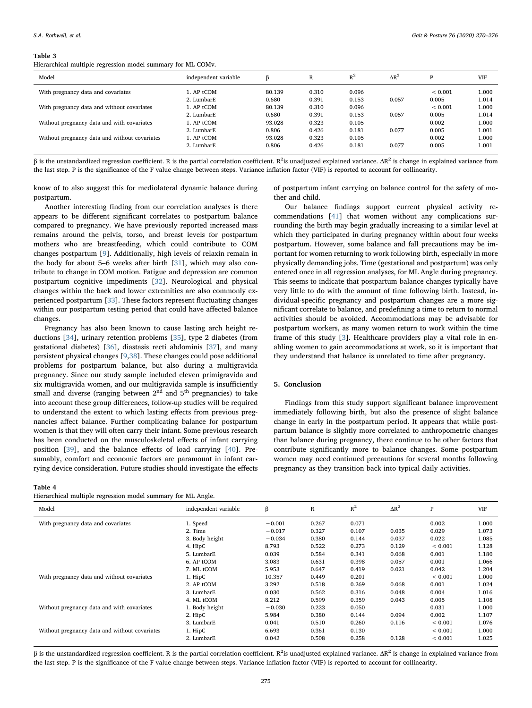<span id="page-5-0"></span>Hierarchical multiple regression model summary for ML COMv.

| Model                                         | independent variable | ß      | R     | $R^2$ | $\Delta R^2$ | D           | <b>VIF</b> |
|-----------------------------------------------|----------------------|--------|-------|-------|--------------|-------------|------------|
| With pregnancy data and covariates            | l. AP tCOM           | 80.139 | 0.310 | 0.096 |              | ${}< 0.001$ | 1.000      |
|                                               | 2. LumbarE           | 0.680  | 0.391 | 0.153 | 0.057        | 0.005       | 1.014      |
| With pregnancy data and without covariates    | l. AP tCOM           | 80.139 | 0.310 | 0.096 |              | ${}< 0.001$ | 1.000      |
|                                               | 2. LumbarE           | 0.680  | 0.391 | 0.153 | 0.057        | 0.005       | 1.014      |
| Without pregnancy data and with covariates    | 1. AP tCOM           | 93.028 | 0.323 | 0.105 |              | 0.002       | 1.000      |
|                                               | 2. LumbarE           | 0.806  | 0.426 | 0.181 | 0.077        | 0.005       | 1.001      |
| Without pregnancy data and without covariates | 1. AP tCOM           | 93.028 | 0.323 | 0.105 |              | 0.002       | 1.000      |
|                                               | 2. LumbarE           | 0.806  | 0.426 | 0.181 | 0.077        | 0.005       | 1.001      |

β is the unstandardized regression coefficient. R is the partial correlation coefficient. R<sup>2</sup>is unadjusted explained variance. ΔR<sup>2</sup> is change in explained variance from the last step. P is the significance of the F value change between steps. Variance inflation factor (VIF) is reported to account for collinearity.

know of to also suggest this for mediolateral dynamic balance during postpartum.

Another interesting finding from our correlation analyses is there appears to be different significant correlates to postpartum balance compared to pregnancy. We have previously reported increased mass remains around the pelvis, torso, and breast levels for postpartum mothers who are breastfeeding, which could contribute to COM changes postpartum [[9](#page-6-8)]. Additionally, high levels of relaxin remain in the body for about 5–6 weeks after birth [[31\]](#page-6-29), which may also contribute to change in COM motion. Fatigue and depression are common postpartum cognitive impediments [\[32](#page-6-30)]. Neurological and physical changes within the back and lower extremities are also commonly experienced postpartum [\[33](#page-6-31)]. These factors represent fluctuating changes within our postpartum testing period that could have affected balance changes.

Pregnancy has also been known to cause lasting arch height reductions [[34\]](#page-6-32), urinary retention problems [[35\]](#page-6-33), type 2 diabetes (from gestational diabetes) [[36\]](#page-6-34), diastasis recti abdominis [[37\]](#page-6-35), and many persistent physical changes [\[9](#page-6-8),[38\]](#page-6-36). These changes could pose additional problems for postpartum balance, but also during a multigravida pregnancy. Since our study sample included eleven primigravida and six multigravida women, and our multigravida sample is insufficiently small and diverse (ranging between  $2<sup>nd</sup>$  and  $5<sup>th</sup>$  pregnancies) to take into account these group differences, follow-up studies will be required to understand the extent to which lasting effects from previous pregnancies affect balance. Further complicating balance for postpartum women is that they will often carry their infant. Some previous research has been conducted on the musculoskeletal effects of infant carrying position [\[39](#page-6-37)], and the balance effects of load carrying [\[40](#page-6-38)]. Presumably, comfort and economic factors are paramount in infant carrying device consideration. Future studies should investigate the effects

#### <span id="page-5-1"></span>Table 4

Hierarchical multiple regression model summary for ML Angle.

of postpartum infant carrying on balance control for the safety of mother and child.

Our balance findings support current physical activity recommendations [\[41\]](#page-6-39) that women without any complications surrounding the birth may begin gradually increasing to a similar level at which they participated in during pregnancy within about four weeks postpartum. However, some balance and fall precautions may be important for women returning to work following birth, especially in more physically demanding jobs. Time (gestational and postpartum) was only entered once in all regression analyses, for ML Angle during pregnancy. This seems to indicate that postpartum balance changes typically have very little to do with the amount of time following birth. Instead, individual-specific pregnancy and postpartum changes are a more significant correlate to balance, and predefining a time to return to normal activities should be avoided. Accommodations may be advisable for postpartum workers, as many women return to work within the time frame of this study [[3](#page-6-2)]. Healthcare providers play a vital role in enabling women to gain accommodations at work, so it is important that they understand that balance is unrelated to time after pregnancy.

## 5. Conclusion

Findings from this study support significant balance improvement immediately following birth, but also the presence of slight balance change in early in the postpartum period. It appears that while postpartum balance is slightly more correlated to anthropometric changes than balance during pregnancy, there continue to be other factors that contribute significantly more to balance changes. Some postpartum women may need continued precautions for several months following pregnancy as they transition back into typical daily activities.

| Model                                         | independent variable | β        | R     | $R^2$ | $\Delta R^2$ | P           | <b>VIF</b> |
|-----------------------------------------------|----------------------|----------|-------|-------|--------------|-------------|------------|
| With pregnancy data and covariates            | 1. Speed             | $-0.001$ | 0.267 | 0.071 |              | 0.002       | 1.000      |
|                                               | 2. Time              | $-0.017$ | 0.327 | 0.107 | 0.035        | 0.029       | 1.073      |
|                                               | 3. Body height       | $-0.034$ | 0.380 | 0.144 | 0.037        | 0.022       | 1.085      |
|                                               | 4. HipC              | 8.793    | 0.522 | 0.273 | 0.129        | ${}< 0.001$ | 1.128      |
|                                               | 5. LumbarE           | 0.039    | 0.584 | 0.341 | 0.068        | 0.001       | 1.180      |
|                                               | 6. AP tCOM           | 3.083    | 0.631 | 0.398 | 0.057        | 0.001       | 1.066      |
|                                               | 7. ML tCOM           | 5.953    | 0.647 | 0.419 | 0.021        | 0.042       | 1.204      |
| With pregnancy data and without covariates    | 1. HipC              | 10.357   | 0.449 | 0.201 |              | ${}< 0.001$ | 1.000      |
|                                               | 2. AP tCOM           | 3.292    | 0.518 | 0.269 | 0.068        | 0.001       | 1.024      |
|                                               | 3. LumbarE           | 0.030    | 0.562 | 0.316 | 0.048        | 0.004       | 1.016      |
|                                               | 4. ML tCOM           | 8.212    | 0.599 | 0.359 | 0.043        | 0.005       | 1.108      |
| Without pregnancy data and with covariates    | 1. Body height       | $-0.030$ | 0.223 | 0.050 |              | 0.031       | 1.000      |
|                                               | 2. HipC              | 5.984    | 0.380 | 0.144 | 0.094        | 0.002       | 1.107      |
|                                               | 3. LumbarE           | 0.041    | 0.510 | 0.260 | 0.116        | ${}< 0.001$ | 1.076      |
| Without pregnancy data and without covariates | 1. HipC              | 6.693    | 0.361 | 0.130 |              | ${}< 0.001$ | 1.000      |
|                                               | 2. LumbarE           | 0.042    | 0.508 | 0.258 | 0.128        | ${}< 0.001$ | 1.025      |

β is the unstandardized regression coefficient. R is the partial correlation coefficient. R<sup>2</sup>is unadjusted explained variance. ΔR<sup>2</sup> is change in explained variance from the last step. P is the significance of the F value change between steps. Variance inflation factor (VIF) is reported to account for collinearity.